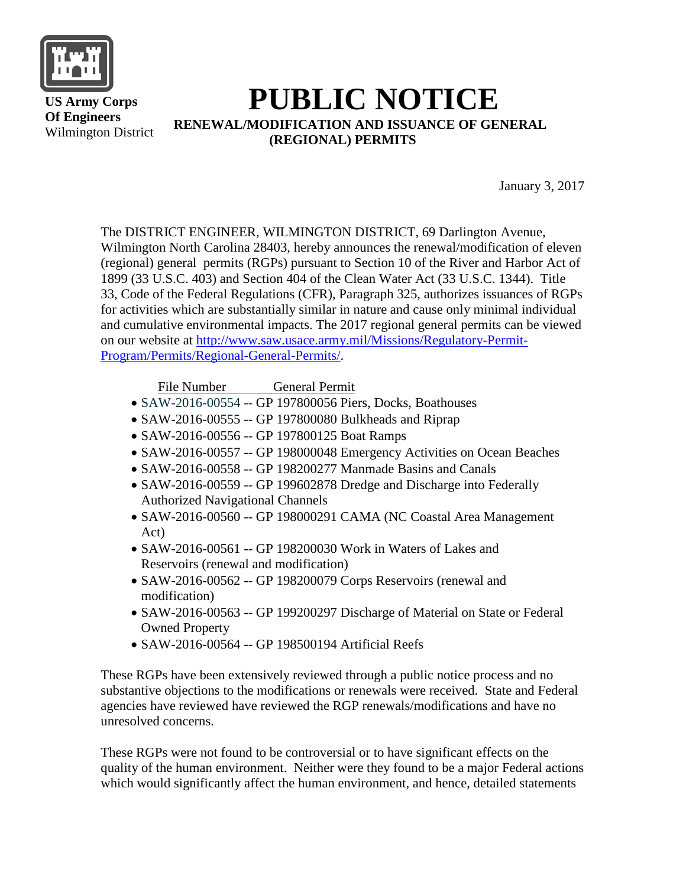

 **US Army Corps Of Engineers** Wilmington District

## **PUBLIC NOTICE RENEWAL/MODIFICATION AND ISSUANCE OF GENERAL (REGIONAL) PERMITS**

January 3, 2017

The DISTRICT ENGINEER, WILMINGTON DISTRICT, 69 Darlington Avenue, Wilmington North Carolina 28403, hereby announces the renewal/modification of eleven (regional) general permits (RGPs) pursuant to Section 10 of the River and Harbor Act of 1899 (33 U.S.C. 403) and Section 404 of the Clean Water Act (33 U.S.C. 1344). Title 33, Code of the Federal Regulations (CFR), Paragraph 325, authorizes issuances of RGPs for activities which are substantially similar in nature and cause only minimal individual and cumulative environmental impacts. The 2017 regional general permits can be viewed on our website at [http://www.saw.usace.army.mil/Missions/Regulatory-Permit-](http://www.saw.usace.army.mil/Missions/Regulatory-Permit-Program/Permits/Regional-General-Permits/)[Program/Permits/Regional-General-Permits/.](http://www.saw.usace.army.mil/Missions/Regulatory-Permit-Program/Permits/Regional-General-Permits/)

File Number General Permit

- SAW-2016-00554 -- GP 197800056 Piers, Docks, Boathouses
- SAW-2016-00555 -- GP 197800080 Bulkheads and Riprap
- SAW-2016-00556 -- GP 197800125 Boat Ramps
- SAW-2016-00557 -- GP 198000048 Emergency Activities on Ocean Beaches
- SAW-2016-00558 -- GP 198200277 Manmade Basins and Canals
- SAW-2016-00559 -- GP 199602878 Dredge and Discharge into Federally Authorized Navigational Channels
- SAW-2016-00560 -- GP 198000291 CAMA (NC Coastal Area Management Act)
- SAW-2016-00561 -- GP 198200030 Work in Waters of Lakes and Reservoirs (renewal and modification)
- SAW-2016-00562 -- GP 198200079 Corps Reservoirs (renewal and modification)
- SAW-2016-00563 -- GP 199200297 Discharge of Material on State or Federal Owned Property
- SAW-2016-00564 -- GP 198500194 Artificial Reefs

These RGPs have been extensively reviewed through a public notice process and no substantive objections to the modifications or renewals were received. State and Federal agencies have reviewed have reviewed the RGP renewals/modifications and have no unresolved concerns.

These RGPs were not found to be controversial or to have significant effects on the quality of the human environment. Neither were they found to be a major Federal actions which would significantly affect the human environment, and hence, detailed statements